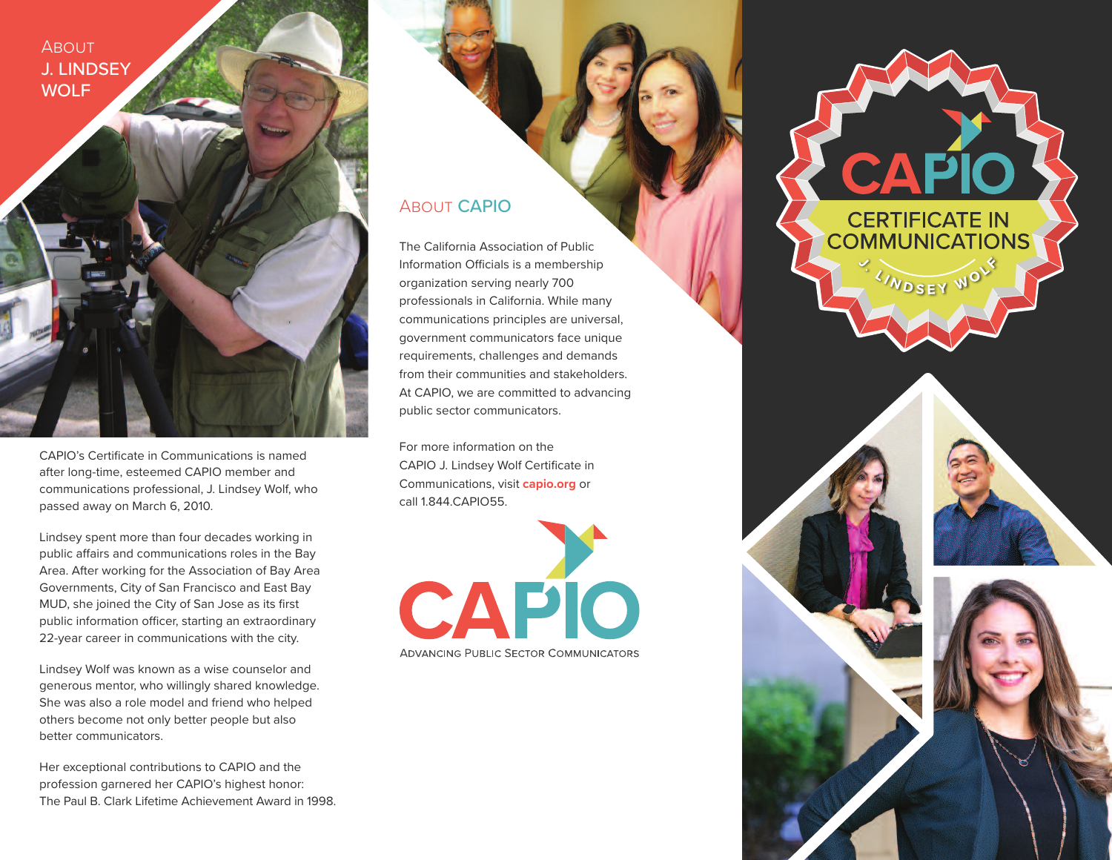**ABOUT** J. LINDSEY **WOLF** 



CAPIO's Certificate in Communications is named after long-time, esteemed CAPIO member and communications professional, J. Lindsey Wolf, who passed away on March 6, 2010.

Lindsey spent more than four decades working in public affairs and communications roles in the Bay Area. After working for the Association of Bay Area Governments, City of San Francisco and East Bay MUD, she joined the City of San Jose as its first public information officer, starting an extraordinary 22-year career in communications with the city.

Lindsey Wolf was known as a wise counselor and generous mentor, who willingly shared knowledge. She was also a role model and friend who helped others become not only better people but also better communicators.

Her exceptional contributions to CAPIO and the profession garnered her CAPIO's highest honor: The Paul B. Clark Lifetime Achievement Award in 1998.

## About CAPIO

The California Association of Public Information Officials is a membership organization serving nearly 700 professionals in California. While many communications principles are universal, government communicators face unique requirements, challenges and demands from their communities and stakeholders. At CAPIO, we are committed to advancing public sector communicators.

For more information on the CAPIO J. Lindsey Wolf Certificate in Communications, visit **capio.org** or call 1.844.CAPIO55.